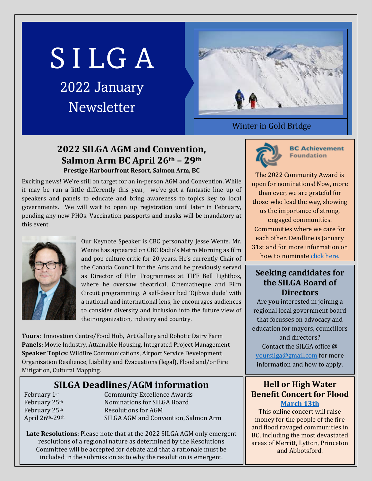# S I LG A

# 2022 January Newsletter



#### Winter in Gold Bridge

## **2022 SILGA AGM and Convention, Salmon Arm BC April 26th – 29th Prestige Harbourfront Resort, Salmon Arm, BC**

Exciting news! We're still on target for an in-person AGM and Convention. While it may be run a little differently this year, we've got a fantastic line up of speakers and panels to educate and bring awareness to topics key to local governments. We will wait to open up registration until later in February, pending any new PHOs. Vaccination passports and masks will be mandatory at this event.



Our Keynote Speaker is CBC personality Jesse Wente. Mr. Wente has appeared on CBC Radio's Metro Morning as film and pop culture critic for 20 years. He's currently Chair of the Canada Council for the Arts and he previously served as Director of Film Programmes at TIFF Bell Lightbox, where he oversaw theatrical, Cinematheque and Film Circuit programming. A self-described 'Ojibwe dude' with a national and international lens, he encourages audiences to consider diversity and inclusion into the future view of their organization, industry and country.

**Tours:** Innovation Centre/Food Hub, Art Gallery and Robotic Dairy Farm **Panels:** Movie Industry, Attainable Housing, Integrated Project Management **Speaker Topics**: Wildfire Communications, Airport Service Development, Organization Resilience, Liability and Evacuations (legal), Flood and/or Fire Mitigation, Cultural Mapping.

# **SILGA Deadlines/AGM information**

February 1<sup>st</sup> Community Excellence Awards<br>February 25<sup>th</sup> Nominations for SILGA Board February 25<sup>th</sup> Nominations for SILGA Board<br>February 25<sup>th</sup> Resolutions for AGM February 25<sup>th</sup> Resolutions for AGM<br>April 26<sup>th</sup>-29<sup>th</sup> SILGA AGM and Conv SILGA AGM and Convention, Salmon Arm

**Late Resolutions**: Please note that at the 2022 SILGA AGM only emergent resolutions of a regional nature as determined by the Resolutions Committee will be accepted for debate and that a rationale must be included in the submission as to why the resolution is emergent.

**BC Achievement Foundation** 

The 2022 Community Award is open for nominations! Now, more than ever, we are grateful for those who lead the way, showing us the importance of strong, engaged communities. Communities where we care for each other. Deadline is January 31st and for more information on how to nominat[e click here.](https://www.bcachievement.com/award/bc-achievement-community-award-2022/)

#### **Seeking candidates for the SILGA Board of Directors**

Are you interested in joining a regional local government board that focusses on advocacy and education for mayors, councillors and directors? Contact the SILGA office @ [yoursilga@gmail.com](mailto:yoursilga@gmail.com) for more information and how to apply.

#### **Hell or High Water Benefit Concert for Flood [March 13th](https://hellorhighwater.ca/)**

This online concert will raise money for the people of the fire and flood ravaged communities in BC, including the most devastated areas of Merritt, Lytton, Princeton and Abbotsford.